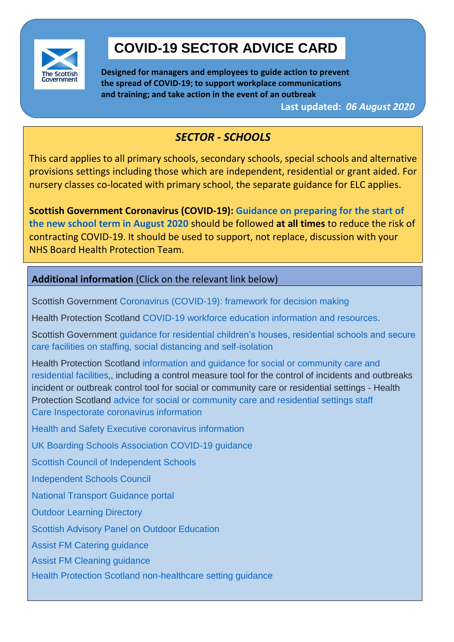

# **COVID-19 SECTOR ADVICE CARD**

**Designed for managers and employees to guide action to prevent the spread of COVID-19; to support workplace communications and training; and take action in the event of an outbreak** 

**Last updated:** *06 August 2020*

# *SECTOR - SCHOOLS*

This card applies to all primary schools, secondary schools, special schools and alternative provisions settings including those which are independent, residential or grant aided. For nursery classes co-located with primary school, the separate guidance for ELC applies.

**Scottish Government Coronavirus (COVID-19): [Guidance on preparing for the start of](https://www.gov.scot/publications/coronavirus-covid-19-guidance-preparing-start-new-school-term-august-2020/)  [the new school term in August 2020](https://www.gov.scot/publications/coronavirus-covid-19-guidance-preparing-start-new-school-term-august-2020/)** should be followed **at all times** to reduce the risk of contracting COVID-19. It should be used to support, not replace, discussion with your NHS Board Health Protection Team.

# **Additional information** (Click on the relevant link below)

Scottish Government Coronavirus (COVID-19): [framework for decision making](https://www.gov.scot/collections/coronavirus-covid-19-framework-for-decision-making/)

Health Protection Scotland [COVID-19 workforce education information and resources.](https://www.hps.scot.nhs.uk/a-to-z-of-topics/covid-19/covid-19-workforce-education/)

 Scottish Government [guidance for residential children's houses, residential schools and secure](https://www.gov.scot/publications/coronavirus-covid-19-residential-childcare/)  [care facilities on staffing, social distancing and self-isolation](https://www.gov.scot/publications/coronavirus-covid-19-residential-childcare/)

 Health Protection Scotland [information and guidance for social or community care and](https://www.hps.scot.nhs.uk/web-resources-container/information-and-guidance-for-social-or-community-care-and-residential-facilities/)  [residential facilities](https://www.hps.scot.nhs.uk/web-resources-container/information-and-guidance-for-social-or-community-care-and-residential-facilities/),, including a control measure tool for the control of incidents and outbreaks incident or outbreak control tool for social or community care or residential settings - Health Protection Scotland [advice for social or community care and residential settings staff](https://www.hps.scot.nhs.uk/web-resources-container/covid-19-information-and-guidance-for-care-home-settings/) [Care Inspectorate coronavirus information](https://www.careinspectorate.com/index.php/coronavirus-professionals)

[Health and Safety Executive coronavirus information](https://www.hse.gov.uk/news/coronavirus.htm)

[UK Boarding Schools Association COVID-19 guidance](https://www.boarding.org.uk/media/news/article/14677/Coronavirus-disease-COVID-19-guidance)

[Scottish Council of Independent Schools](http://www.scis.org.uk/about-scis/coronavirus-covid-19-guidance-for-schools/)

[Independent Schools Council](https://www.isc.co.uk/sector-info/coronavirus-information-for-schools/)

[National Transport Guidance portal](https://www.transport.gov.scot/coronavirus-covid-19/)

[Outdoor Learning Directory](https://outdoorlearningdirectory.com/)

[Scottish Advisory Panel on Outdoor Education](https://www.sapoe.org.uk/)

[Assist FM Catering guidance](https://drive.google.com/file/d/1ZtN8FI_yjt6G3cYLUenhAAMeVFZs43em/view?usp=sharing)

[Assist FM Cleaning guidance](https://drive.google.com/file/d/1RIGQ_-ggQe6Q7JA9Z37k-7ybx8JMaC2s/view?usp=sharing)

[Health Protection Scotland non-healthcare setting guidance](https://hpspubsrepo.blob.core.windows.net/hps-website/nss/2973/documents/1_covid-19-guidance-for-non-healthcare-settings.pdf)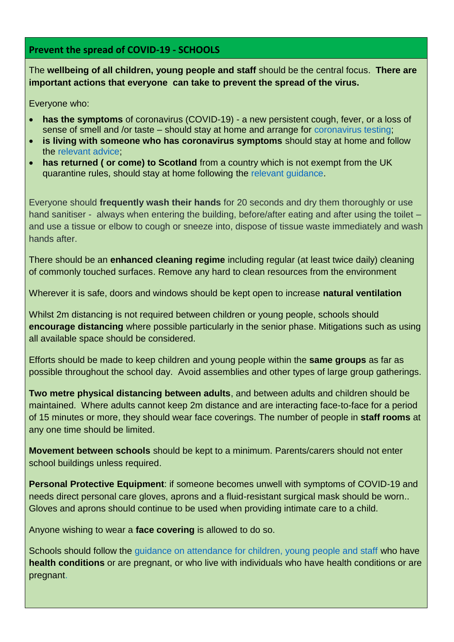## **Prevent the spread of COVID-19 - SCHOOLS**

The **wellbeing of all children, young people and staff** should be the central focus. **There are important actions that everyone can take to prevent the spread of the virus.**

Everyone who:

- **has the symptoms** of coronavirus (COVID-19) a new persistent cough, fever, or a loss of sense of smell and /or taste – should stay at home and arrange for [coronavirus testing;](https://www.nhsinform.scot/illnesses-and-conditions/infections-and-poisoning/coronavirus-covid-19/test-and-protect/coronavirus-covid-19-testing)
- **is living with someone who has coronavirus symptoms** should stay at home and follow the [relevant advice;](https://www.nhsinform.scot/illnesses-and-conditions/infections-and-poisoning/coronavirus-covid-19/test-and-protect/coronavirus-covid-19-guidance-for-households-with-possible-coronavirus-infection)
- **has returned ( or come) to Scotland** from a country which is not exempt from the UK quarantine rules, should stay at home following the [relevant guidance.](https://www.gov.scot/publications/coronavirus-covid-19-public-health-checks-at-borders/pages/overview/)

Everyone should **frequently wash their hands** for 20 seconds and dry them thoroughly or use hand sanitiser - always when entering the building, before/after eating and after using the toilet – and use a tissue or elbow to cough or sneeze into, dispose of tissue waste immediately and wash hands after.

There should be an **enhanced cleaning regime** including regular (at least twice daily) cleaning of commonly touched surfaces. Remove any hard to clean resources from the environment

Wherever it is safe, doors and windows should be kept open to increase **natural ventilation**

Whilst 2m distancing is not required between children or young people, schools should **encourage distancing** where possible particularly in the senior phase. Mitigations such as using all available space should be considered.

Efforts should be made to keep children and young people within the **same groups** as far as possible throughout the school day. Avoid assemblies and other types of large group gatherings.

**Two metre physical distancing between adults**, and between adults and children should be maintained. Where adults cannot keep 2m distance and are interacting face-to-face for a period of 15 minutes or more, they should wear face coverings. The number of people in **staff rooms** at any one time should be limited.

**Movement between schools** should be kept to a minimum. Parents/carers should not enter school buildings unless required.

**Personal Protective Equipment**: if someone becomes unwell with symptoms of COVID-19 and needs direct personal care gloves, aprons and a fluid-resistant surgical mask should be worn.. Gloves and aprons should continue to be used when providing intimate care to a child.

Anyone wishing to wear a **face covering** is allowed to do so.

Schools should follow the quidance on attendance for children, young people and staff who have **health conditions** or are pregnant, or who live with individuals who have health conditions or are pregnant.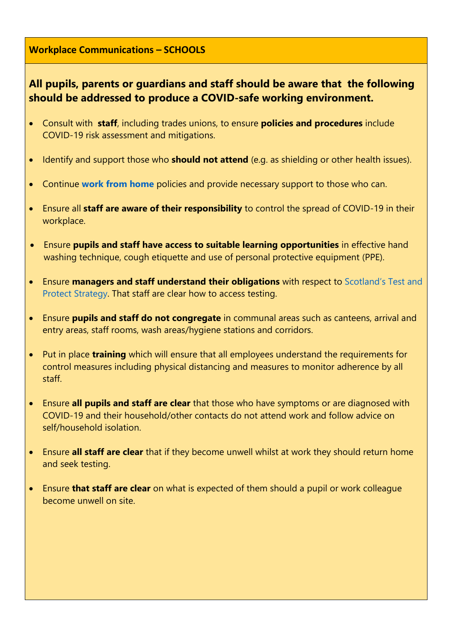### **Workplace Communications – SCHOOLS**

# **All pupils, parents or guardians and staff should be aware that the following should be addressed to produce a COVID-safe working environment.**

- Consult with **staff**, including trades unions, to ensure **policies and procedures** include COVID-19 risk assessment and mitigations.
- Identify and support those who **should not attend** (e.g. as shielding or other health issues).
- Continue **[work from home](https://www.gov.scot/publications/coronavirus-covid-19-guidance-for-homeworking/pages/overview/)** policies and provide necessary support to those who can.
- Ensure all **staff are aware of their responsibility** to control the spread of COVID-19 in their workplace.
- Ensure **pupils and staff have access to suitable learning opportunities** in effective hand washing technique, cough etiquette and use of personal protective equipment (PPE).
- Ensure **managers and staff understand their obligations** with respect to [Scotland's Test and](https://www.gov.scot/publications/coronavirus-covid-19-test-and-protect-advice-for-employers/)  [Protect Strategy.](https://www.gov.scot/publications/coronavirus-covid-19-test-and-protect-advice-for-employers/) That staff are clear how to access testing.
- Ensure **pupils and staff do not congregate** in communal areas such as canteens, arrival and entry areas, staff rooms, wash areas/hygiene stations and corridors.
- Put in place **training** which will ensure that all employees understand the requirements for control measures including physical distancing and measures to monitor adherence by all staff.
- Ensure **all pupils and staff are clear** that those who have symptoms or are diagnosed with COVID-19 and their household/other contacts do not attend work and follow advice on self/household isolation.
- Ensure **all staff are clear** that if they become unwell whilst at work they should return home and seek testing.
- Ensure **that staff are clear** on what is expected of them should a pupil or work colleague become unwell on site.